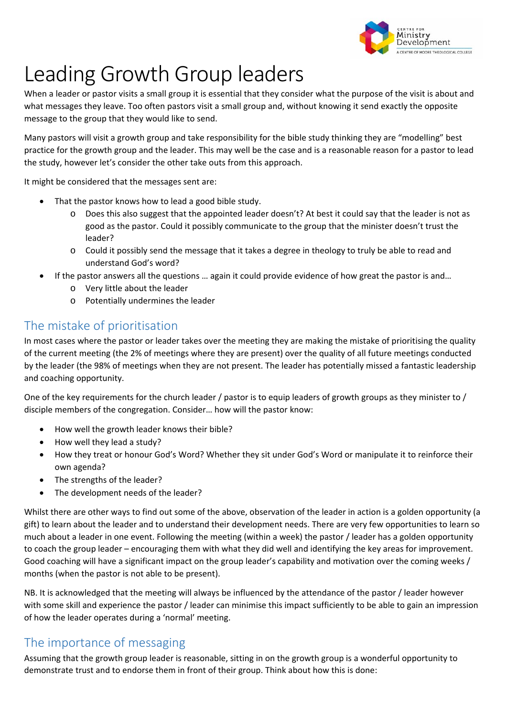

## Leading Growth Group leaders

When a leader or pastor visits a small group it is essential that they consider what the purpose of the visit is about and what messages they leave. Too often pastors visit a small group and, without knowing it send exactly the opposite message to the group that they would like to send.

Many pastors will visit a growth group and take responsibility for the bible study thinking they are "modelling" best practice for the growth group and the leader. This may well be the case and is a reasonable reason for a pastor to lead the study, however let's consider the other take outs from this approach.

It might be considered that the messages sent are:

- That the pastor knows how to lead a good bible study.
	- o Does this also suggest that the appointed leader doesn't? At best it could say that the leader is not as good as the pastor. Could it possibly communicate to the group that the minister doesn't trust the leader?
	- o Could it possibly send the message that it takes a degree in theology to truly be able to read and understand God's word?
- If the pastor answers all the questions … again it could provide evidence of how great the pastor is and…
	- o Very little about the leader
	- o Potentially undermines the leader

## The mistake of prioritisation

In most cases where the pastor or leader takes over the meeting they are making the mistake of prioritising the quality of the current meeting (the 2% of meetings where they are present) over the quality of all future meetings conducted by the leader (the 98% of meetings when they are not present. The leader has potentially missed a fantastic leadership and coaching opportunity.

One of the key requirements for the church leader / pastor is to equip leaders of growth groups as they minister to / disciple members of the congregation. Consider… how will the pastor know:

- How well the growth leader knows their bible?
- How well they lead a study?
- How they treat or honour God's Word? Whether they sit under God's Word or manipulate it to reinforce their own agenda?
- The strengths of the leader?
- The development needs of the leader?

Whilst there are other ways to find out some of the above, observation of the leader in action is a golden opportunity (a gift) to learn about the leader and to understand their development needs. There are very few opportunities to learn so much about a leader in one event. Following the meeting (within a week) the pastor / leader has a golden opportunity to coach the group leader – encouraging them with what they did well and identifying the key areas for improvement. Good coaching will have a significant impact on the group leader's capability and motivation over the coming weeks / months (when the pastor is not able to be present).

NB. It is acknowledged that the meeting will always be influenced by the attendance of the pastor / leader however with some skill and experience the pastor / leader can minimise this impact sufficiently to be able to gain an impression of how the leader operates during a 'normal' meeting.

## The importance of messaging

Assuming that the growth group leader is reasonable, sitting in on the growth group is a wonderful opportunity to demonstrate trust and to endorse them in front of their group. Think about how this is done: